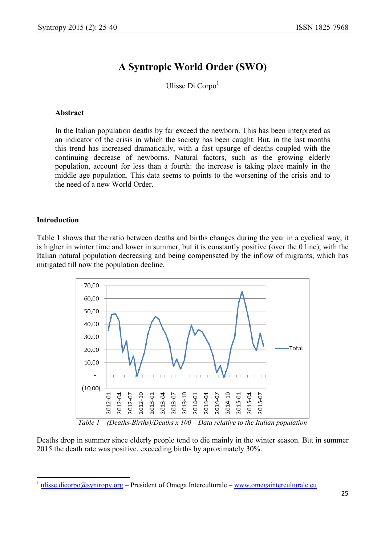# **A Syntropic World Order (SWO)**

Ulisse Di Corpo $<sup>1</sup>$ </sup>

# **Abstract**

In the Italian population deaths by far exceed the newborn. This has been interpreted as an indicator of the crisis in which the society has been caught. But, in the last months this trend has increased dramatically, with a fast upsurge of deaths coupled with the continuing decrease of newborns. Natural factors, such as the growing elderly population, account for less than a fourth: the increase is taking place mainly in the middle age population. This data seems to points to the worsening of the crisis and to the need of a new World Order.

# **Introduction**

 $\overline{a}$ 

Table 1 shows that the ratio between deaths and births changes during the year in a cyclical way, it is higher in winter time and lower in summer, but it is constantly positive (over the 0 line), with the Italian natural population decreasing and being compensated by the inflow of migrants, which has mitigated till now the population decline.



*Table 1 – (Deaths-Births)/Deaths x 100 – Data relative to the Italian population* 

Deaths drop in summer since elderly people tend to die mainly in the winter season. But in summer 2015 the death rate was positive, exceeding births by aproximately 30%.

<sup>&</sup>lt;sup>1</sup> ulisse.dicorpo@syntropy.org – President of Omega Interculturale – www.omegainterculturale.eu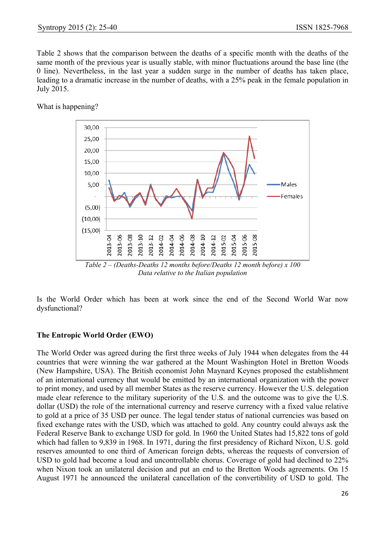Table 2 shows that the comparison between the deaths of a specific month with the deaths of the same month of the previous year is usually stable, with minor fluctuations around the base line (the 0 line). Nevertheless, in the last year a sudden surge in the number of deaths has taken place, leading to a dramatic increase in the number of deaths, with a 25% peak in the female population in July 2015.

What is happening?



Is the World Order which has been at work since the end of the Second World War now dysfunctional?

# **The Entropic World Order (EWO)**

The World Order was agreed during the first three weeks of July 1944 when delegates from the 44 countries that were winning the war gathered at the Mount Washington Hotel in Bretton Woods (New Hampshire, USA). The British economist John Maynard Keynes proposed the establishment of an international currency that would be emitted by an international organization with the power to print money, and used by all member States as the reserve currency. However the U.S. delegation made clear reference to the military superiority of the U.S. and the outcome was to give the U.S. dollar (USD) the role of the international currency and reserve currency with a fixed value relative to gold at a price of 35 USD per ounce. The legal tender status of national currencies was based on fixed exchange rates with the USD, which was attached to gold. Any country could always ask the Federal Reserve Bank to exchange USD for gold. In 1960 the United States had 15,822 tons of gold which had fallen to 9,839 in 1968. In 1971, during the first presidency of Richard Nixon, U.S. gold reserves amounted to one third of American foreign debts, whereas the requests of conversion of USD to gold had become a loud and uncontrollable chorus. Coverage of gold had declined to 22% when Nixon took an unilateral decision and put an end to the Bretton Woods agreements. On 15 August 1971 he announced the unilateral cancellation of the convertibility of USD to gold. The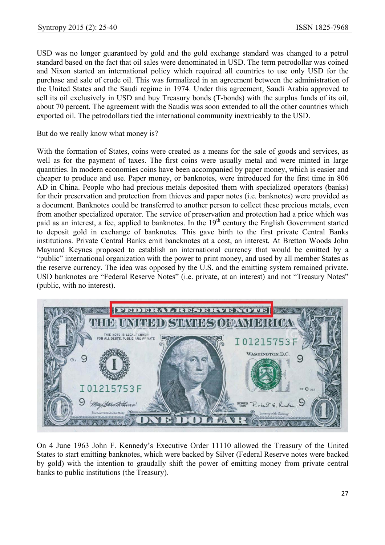USD was no longer guaranteed by gold and the gold exchange standard was changed to a petrol standard based on the fact that oil sales were denominated in USD. The term petrodollar was coined and Nixon started an international policy which required all countries to use only USD for the purchase and sale of crude oil. This was formalized in an agreement between the administration of the United States and the Saudi regime in 1974. Under this agreement, Saudi Arabia approved to sell its oil exclusively in USD and buy Treasury bonds (T-bonds) with the surplus funds of its oil, about 70 percent. The agreement with the Saudis was soon extended to all the other countries which exported oil. The petrodollars tied the international community inextricably to the USD.

But do we really know what money is?

With the formation of States, coins were created as a means for the sale of goods and services, as well as for the payment of taxes. The first coins were usually metal and were minted in large quantities. In modern economies coins have been accompanied by paper money, which is easier and cheaper to produce and use. Paper money, or banknotes, were introduced for the first time in 806 AD in China. People who had precious metals deposited them with specialized operators (banks) for their preservation and protection from thieves and paper notes (i.e. banknotes) were provided as a document. Banknotes could be transferred to another person to collect these precious metals, even from another specialized operator. The service of preservation and protection had a price which was paid as an interest, a fee, applied to banknotes. In the 19<sup>th</sup> century the English Government started to deposit gold in exchange of banknotes. This gave birth to the first private Central Banks institutions. Private Central Banks emit bancknotes at a cost, an interest. At Bretton Woods John Maynard Keynes proposed to establish an international currency that would be emitted by a "public" international organization with the power to print money, and used by all member States as the reserve currency. The idea was opposed by the U.S. and the emitting system remained private. USD banknotes are "Federal Reserve Notes" (i.e. private, at an interest) and not "Treasury Notes" (public, with no interest).



On 4 June 1963 John F. Kennedy's Executive Order 11110 allowed the Treasury of the United States to start emitting banknotes, which were backed by Silver (Federal Reserve notes were backed by gold) with the intention to graudally shift the power of emitting money from private central banks to public institutions (the Treasury).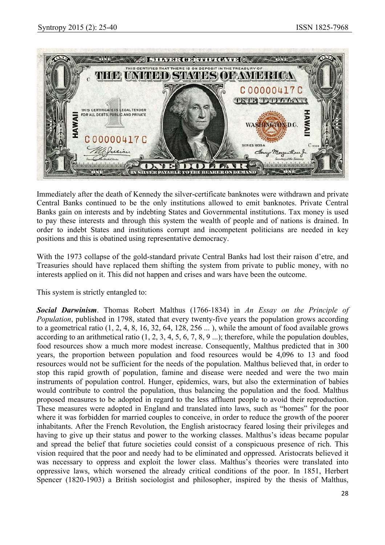

Immediately after the death of Kennedy the silver-certificate banknotes were withdrawn and private Central Banks continued to be the only institutions allowed to emit banknotes. Private Central Banks gain on interests and by indebting States and Governmental institutions. Tax money is used to pay these interests and through this system the wealth of people and of nations is drained. In order to indebt States and institutions corrupt and incompetent politicians are needed in key positions and this is obatined using representative democracy.

With the 1973 collapse of the gold-standard private Central Banks had lost their raison d'etre, and Treasuries should have replaced them shifting the system from private to public money, with no interests applied on it. This did not happen and crises and wars have been the outcome.

This system is strictly entangled to:

*Social Darwinism*. Thomas Robert Malthus (1766-1834) in *An Essay on the Principle of Population*, published in 1798, stated that every twenty-five years the population grows according to a geometrical ratio (1, 2, 4, 8, 16, 32, 64, 128, 256 ... ), while the amount of food available grows according to an arithmetical ratio (1, 2, 3, 4, 5, 6, 7, 8, 9 ...); therefore, while the population doubles, food resources show a much more modest increase. Consequently, Malthus predicted that in 300 years, the proportion between population and food resources would be 4,096 to 13 and food resources would not be sufficient for the needs of the population. Malthus believed that, in order to stop this rapid growth of population, famine and disease were needed and were the two main instruments of population control. Hunger, epidemics, wars, but also the extermination of babies would contribute to control the population, thus balancing the population and the food. Malthus proposed measures to be adopted in regard to the less affluent people to avoid their reproduction. These measures were adopted in England and translated into laws, such as "homes" for the poor where it was forbidden for married couples to conceive, in order to reduce the growth of the poorer inhabitants. After the French Revolution, the English aristocracy feared losing their privileges and having to give up their status and power to the working classes. Malthus's ideas became popular and spread the belief that future societies could consist of a conspicuous presence of rich. This vision required that the poor and needy had to be eliminated and oppressed. Aristocrats believed it was necessary to oppress and exploit the lower class. Malthus's theories were translated into oppressive laws, which worsened the already critical conditions of the poor. In 1851, Herbert Spencer (1820-1903) a British sociologist and philosopher, inspired by the thesis of Malthus,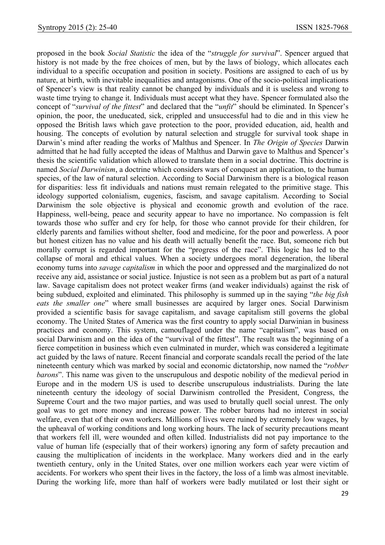proposed in the book *Social Statistic* the idea of the "*struggle for survival*". Spencer argued that history is not made by the free choices of men, but by the laws of biology, which allocates each individual to a specific occupation and position in society. Positions are assigned to each of us by nature, at birth, with inevitable inequalities and antagonisms. One of the socio-political implications of Spencer's view is that reality cannot be changed by individuals and it is useless and wrong to waste time trying to change it. Individuals must accept what they have. Spencer formulated also the concept of "*survival of the fittest*" and declared that the "*unfit*" should be eliminated. In Spencer's opinion, the poor, the uneducated, sick, crippled and unsuccessful had to die and in this view he opposed the British laws which gave protection to the poor, provided education, aid, health and housing. The concepts of evolution by natural selection and struggle for survival took shape in Darwin's mind after reading the works of Malthus and Spencer. In *The Origin of Species* Darwin admitted that he had fully accepted the ideas of Malthus and Darwin gave to Malthus and Spencer's thesis the scientific validation which allowed to translate them in a social doctrine. This doctrine is named *Social Darwinism*, a doctrine which considers wars of conquest an application, to the human species, of the law of natural selection. According to Social Darwinism there is a biological reason for disparities: less fit individuals and nations must remain relegated to the primitive stage. This ideology supported colonialism, eugenics, fascism, and savage capitalism. According to Social Darwinism the sole objective is physical and economic growth and evolution of the race. Happiness, well-being, peace and security appear to have no importance. No compassion is felt towards those who suffer and cry for help, for those who cannot provide for their children, for elderly parents and families without shelter, food and medicine, for the poor and powerless. A poor but honest citizen has no value and his death will actually benefit the race. But, someone rich but morally corrupt is regarded important for the "progress of the race". This logic has led to the collapse of moral and ethical values. When a society undergoes moral degeneration, the liberal economy turns into *savage capitalism* in which the poor and oppressed and the marginalized do not receive any aid, assistance or social justice. Injustice is not seen as a problem but as part of a natural law. Savage capitalism does not protect weaker firms (and weaker individuals) against the risk of being subdued, exploited and eliminated. This philosophy is summed up in the saying "*the big fish eats the smaller one*" where small businesses are acquired by larger ones. Social Darwinism provided a scientific basis for savage capitalism, and savage capitalism still governs the global economy. The United States of America was the first country to apply social Darwinian in business practices and economy. This system, camouflaged under the name "capitalism", was based on social Darwinism and on the idea of the "survival of the fittest". The result was the beginning of a fierce competition in business which even culminated in murder, which was considered a legitimate act guided by the laws of nature. Recent financial and corporate scandals recall the period of the late nineteenth century which was marked by social and economic dictatorship, now named the "*robber barons*". This name was given to the unscrupulous and despotic nobility of the medieval period in Europe and in the modern US is used to describe unscrupulous industrialists. During the late nineteenth century the ideology of social Darwinism controlled the President, Congress, the Supreme Court and the two major parties, and was used to brutally quell social unrest. The only goal was to get more money and increase power. The robber barons had no interest in social welfare, even that of their own workers. Millions of lives were ruined by extremely low wages, by the upheaval of working conditions and long working hours. The lack of security precautions meant that workers fell ill, were wounded and often killed. Industrialists did not pay importance to the value of human life (especially that of their workers) ignoring any form of safety precaution and causing the multiplication of incidents in the workplace. Many workers died and in the early twentieth century, only in the United States, over one million workers each year were victim of accidents. For workers who spent their lives in the factory, the loss of a limb was almost inevitable. During the working life, more than half of workers were badly mutilated or lost their sight or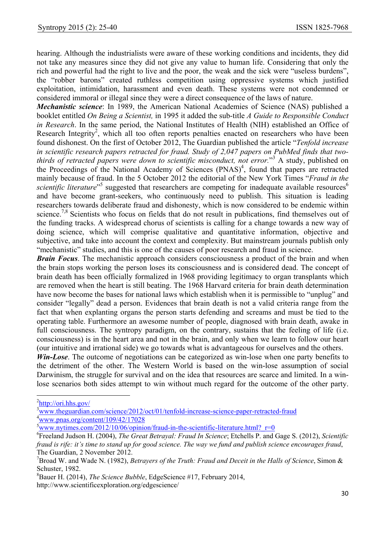hearing. Although the industrialists were aware of these working conditions and incidents, they did not take any measures since they did not give any value to human life. Considering that only the rich and powerful had the right to live and the poor, the weak and the sick were "useless burdens", the "robber barons" created ruthless competition using oppressive systems which justified exploitation, intimidation, harassment and even death. These systems were not condemned or considered immoral or illegal since they were a direct consequence of the laws of nature.

*Mechanistic science*: In 1989, the American National Academies of Science (NAS) published a booklet entitled *On Being a Scientist,* in 1995 it added the sub-title *A Guide to Responsible Conduct in Research*. In the same period, the National Institutes of Health (NIH) established an Office of Research Integrity<sup>2</sup>, which all too often reports penalties enacted on researchers who have been found dishonest. On the first of October 2012, The Guardian published the article "*Tenfold increase in scientific research papers retracted for fraud. Study of 2,047 papers on PubMed finds that two*thirds of retracted papers were down to scientific misconduct, not error."<sup>3</sup> A study, published on the Proceedings of the National Academy of Sciences (PNAS)<sup>4</sup>, found that papers are retracted mainly because of fraud. In the 5 October 2012 the editorial of the New York Times "*Fraud in the*  scientific literature<sup>"5</sup> suggested that researchers are competing for inadequate available resources<sup>6</sup> and have become grant-seekers, who continuously need to publish. This situation is leading researchers towards deliberate fraud and dishonesty, which is now considered to be endemic within science.<sup>7,8</sup> Scientists who focus on fields that do not result in publications, find themselves out of the funding tracks. A widespread chorus of scientists is calling for a change towards a new way of doing science, which will comprise qualitative and quantitative information, objective and subjective, and take into account the context and complexity. But mainstream journals publish only "mechanistic" studies, and this is one of the causes of poor research and fraud in science.

*Brain Focus*. The mechanistic approach considers consciousness a product of the brain and when the brain stops working the person loses its consciousness and is considered dead. The concept of brain death has been officially formalized in 1968 providing legitimacy to organ transplants which are removed when the heart is still beating. The 1968 Harvard criteria for brain death determination have now become the bases for national laws which establish when it is permissible to "unplug" and consider "legally" dead a person. Evidences that brain death is not a valid criteria range from the fact that when explanting organs the person starts defending and screams and must be tied to the operating table. Furthermore an awesome number of people, diagnosed with brain death, awake in full consciousness. The syntropy paradigm, on the contrary, sustains that the feeling of life (i.e. consciousness) is in the heart area and not in the brain, and only when we learn to follow our heart (our intuitive and irrational side) we go towards what is advantageous for ourselves and the others.

*Win-Lose*. The outcome of negotiations can be categorized as win-lose when one party benefits to the detriment of the other. The Western World is based on the win-lose assumption of social Darwinism, the struggle for survival and on the idea that resources are scarce and limited. In a winlose scenarios both sides attempt to win without much regard for the outcome of the other party.

 $\overline{\phantom{a}}$ 

 $\frac{2 \text{http://ori.hhs.gov/}}{3 \text{www.thosupr,di/}}$ 

www.theguardian.com/science/2012/oct/01/tenfold-increase-science-paper-retracted-fraud  $4$ www.pnas.org/content/109/42/17028

<sup>&</sup>lt;sup>5</sup>www.nytimes.com/2012/10/06/opinion/fraud-in-the-scientific-literature.html? $r=0$ 

Freeland Judson H. (2004), *The Great Betrayal: Fraud In Science*; Etchells P. and Gage S. (2012), *Scientific fraud is rife: it's time to stand up for good science. The way we fund and publish science encourages fraud*, The Guardian, 2 November 2012.

<sup>&</sup>lt;sup>7</sup> Broad W. and Wade N. (1982), *Betrayers of the Truth: Fraud and Deceit in the Halls of Science*, Simon  $\&$ Schuster, 1982.

<sup>8</sup> Bauer H. (2014), *The Science Bubble*, EdgeScience #17, February 2014, http://www.scientificexploration.org/edgescience/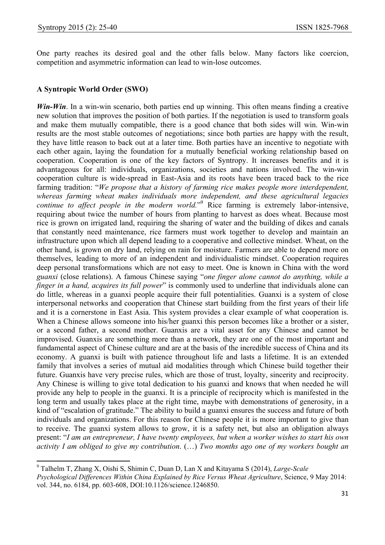$\overline{\phantom{a}}$ 

One party reaches its desired goal and the other falls below. Many factors like coercion, competition and asymmetric information can lead to win-lose outcomes.

#### **A Syntropic World Order (SWO)**

*Win-Win*. In a win-win scenario, both parties end up winning. This often means finding a creative new solution that improves the position of both parties. If the negotiation is used to transform goals and make them mutually compatible, there is a good chance that both sides will win. Win-win results are the most stable outcomes of negotiations; since both parties are happy with the result, they have little reason to back out at a later time. Both parties have an incentive to negotiate with each other again, laying the foundation for a mutually beneficial working relationship based on cooperation. Cooperation is one of the key factors of Syntropy. It increases benefits and it is advantageous for all: individuals, organizations, societies and nations involved. The win-win cooperation culture is wide-spread in East-Asia and its roots have been traced back to the rice farming tradition: "*We propose that a history of farming rice makes people more interdependent, whereas farming wheat makes individuals more independent, and these agricultural legacies*  continue to affect people in the modern world.<sup>"9</sup> Rice farming is extremely labor-intensive, requiring about twice the number of hours from planting to harvest as does wheat. Because most rice is grown on irrigated land, requiring the sharing of water and the building of dikes and canals that constantly need maintenance, rice farmers must work together to develop and maintain an infrastructure upon which all depend leading to a cooperative and collective mindset. Wheat, on the other hand, is grown on dry land, relying on rain for moisture. Farmers are able to depend more on themselves, leading to more of an independent and individualistic mindset. Cooperation requires deep personal transformations which are not easy to meet. One is known in China with the word *guanxi* (close relations). A famous Chinese saying "*one finger alone cannot do anything, while a finger in a hand, acquires its full power*" is commonly used to underline that individuals alone can do little, whereas in a guanxi people acquire their full potentialities. Guanxi is a system of close interpersonal networks and cooperation that Chinese start building from the first years of their life and it is a cornerstone in East Asia. This system provides a clear example of what cooperation is. When a Chinese allows someone into his/her guanxi this person becomes like a brother or a sister, or a second father, a second mother. Guanxis are a vital asset for any Chinese and cannot be improvised. Guanxis are something more than a network, they are one of the most important and fundamental aspect of Chinese culture and are at the basis of the incredible success of China and its economy. A guanxi is built with patience throughout life and lasts a lifetime. It is an extended family that involves a series of mutual aid modalities through which Chinese build together their future. Guanxis have very precise rules, which are those of trust, loyalty, sincerity and reciprocity. Any Chinese is willing to give total dedication to his guanxi and knows that when needed he will provide any help to people in the guanxi. It is a principle of reciprocity which is manifested in the long term and usually takes place at the right time, maybe with demonstrations of generosity, in a kind of "escalation of gratitude." The ability to build a guanxi ensures the success and future of both individuals and organizations. For this reason for Chinese people it is more important to give than to receive. The guanxi system allows to grow, it is a safety net, but also an obligation always present: "*I am an entrepreneur, I have twenty employees, but when a worker wishes to start his own activity I am obliged to give my contribution*. (…) *Two months ago one of my workers bought an* 

<sup>9</sup> Talhelm T, Zhang X, Oishi S, Shimin C, Duan D, Lan X and Kitayama S (2014), *Large-Scale Psychological Differences Within China Explained by Rice Versus Wheat Agriculture*, Science, 9 May 2014: vol. 344, no. 6184, pp. 603-608, DOI:10.1126/science.1246850.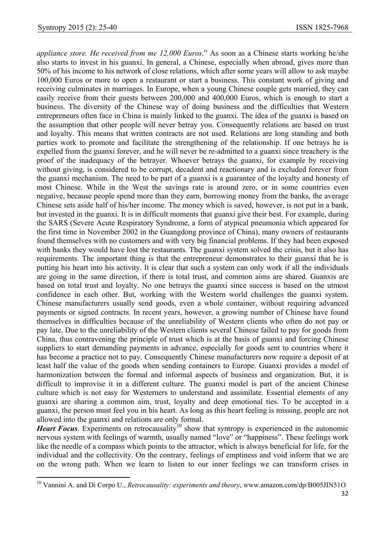$\overline{a}$ 

*appliance store. He received from me 12,000 Euros*." As soon as a Chinese starts working he/she also starts to invest in his guanxi. In general, a Chinese, especially when abroad, gives more than 50% of his income to his network of close relations, which after some years will allow to ask maybe 100,000 Euros or more to open a restaurant or start a business. This constant work of giving and receiving culminates in marriages. In Europe, when a young Chinese couple gets married, they can easily receive from their guests between 200,000 and 400,000 Euros, which is enough to start a business. The diversity of the Chinese way of doing business and the difficulties that Western entrepreneurs often face in China is mainly linked to the guanxi. The idea of the guanxi is based on the assumption that other people will never betray you. Consequently relations are based on trust and loyalty. This means that written contracts are not used. Relations are long standing and both parties work to promote and facilitate the strengthening of the relationship. If one betrays he is expelled from the guanxi forever, and he will never be re-admitted to a guanxi since treachery is the proof of the inadequacy of the betrayer. Whoever betrays the guanxi, for example by receiving without giving, is considered to be corrupt, decadent and reactionary and is excluded forever from the guanxi mechanism. The need to be part of a guanxi is a guarantee of the loyalty and honesty of most Chinese. While in the West the savings rate is around zero, or in some countries even negative, because people spend more than they earn, borrowing money from the banks, the average Chinese sets aside half of his/her income. The money which is saved, however, is not put in a bank, but invested in the guanxi. It is in difficult moments that guanxi give their best. For example, during the SARS (Severe Acute Respiratory Syndrome, a form of atypical pneumonia which appeared for the first time in November 2002 in the Guangdong province of China), many owners of restaurants found themselves with no customers and with very big financial problems. If they had been exposed with banks they would have lost the restaurants. The guanxi system solved the crisis, but it also has requirements. The important thing is that the entrepreneur demonstrates to their guanxi that he is putting his heart into his activity. It is clear that such a system can only work if all the individuals are going in the same direction, if there is total trust, and common aims are shared. Guanxis are based on total trust and loyalty. No one betrays the guanxi since success is based on the utmost confidence in each other. But, working with the Western world challenges the guanxi system. Chinese manufacturers usually send goods, even a whole container, without requiring advanced payments or signed contracts. In recent years, however, a growing number of Chinese have found themselves in difficulties because of the unreliability of Western clients who often do not pay or pay late. Due to the unreliability of the Western clients several Chinese failed to pay for goods from China, thus contravening the principle of trust which is at the basis of guanxi and forcing Chinese suppliers to start demanding payments in advance, especially for goods sent to countries where it has become a practice not to pay. Consequently Chinese manufacturers now require a deposit of at least half the value of the goods when sending containers to Europe. Guanxi provides a model of harmonization between the formal and informal aspects of business and organization. But, it is difficult to improvise it in a different culture. The guanxi model is part of the ancient Chinese culture which is not easy for Westerners to understand and assimilate. Essential elements of any guanxi are sharing a common aim, trust, loyalty and deep emotional ties. To be accepted in a guanxi, the person must feel you in his heart. As long as this heart feeling is missing, people are not allowed into the guanxi and relations are only formal.

*Heart Focus*. Experiments on retrocausality<sup>10</sup> show that syntropy is experienced in the autonomic nervous system with feelings of warmth, usually named "love" or "happiness". These feelings work like the needle of a compass which points to the attractor, which is always beneficial for life, for the individual and the collectivity. On the contrary, feelings of emptiness and void inform that we are on the wrong path. When we learn to listen to our inner feelings we can transform crises in

<sup>10</sup> Vannini A. and Di Corpo U., *Retrocausality: experiments and theory*, www.amazon.com/dp/B005JIN51O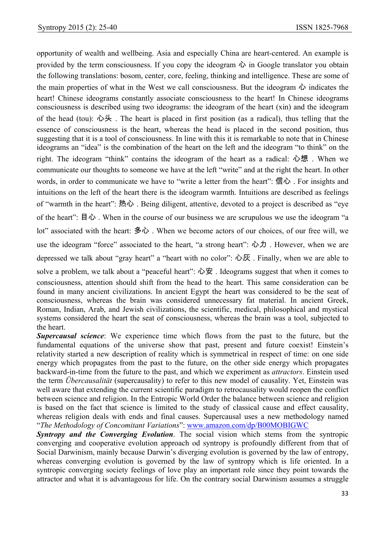opportunity of wealth and wellbeing. Asia and especially China are heart-centered. An example is provided by the term consciousness. If you copy the ideogram  $\hat{\psi}$  in Google translator you obtain the following translations: bosom, center, core, feeling, thinking and intelligence. These are some of the main properties of what in the West we call consciousness. But the ideogram  $\ddot{\psi}$  indicates the heart! Chinese ideograms constantly associate consciousness to the heart! In Chinese ideograms consciousness is described using two ideograms: the ideogram of the heart (xin) and the ideogram of the head (tou): 心头. The heart is placed in first position (as a radical), thus telling that the essence of consciousness is the heart, whereas the head is placed in the second position, thus suggesting that it is a tool of consciousness. In line with this it is remarkable to note that in Chinese ideograms an "idea" is the combination of the heart on the left and the ideogram "to think" on the right. The ideogram "think" contains the ideogram of the heart as a radical: 心想 . When we communicate our thoughts to someone we have at the left "write" and at the right the heart. In other words, in order to communicate we have to "write a letter from the heart": 信心 . For insights and intuitions on the left of the heart there is the ideogram warmth. Intuitions are described as feelings of "warmth in the heart": 热心 . Being diligent, attentive, devoted to a project is described as "eye of the heart": 目心 . When in the course of our business we are scrupulous we use the ideogram "a lot" associated with the heart: 多心 . When we become actors of our choices, of our free will, we use the ideogram "force" associated to the heart, "a strong heart": 心力, However, when we are depressed we talk about "gray heart" a "heart with no color": 心灰 . Finally, when we are able to

solve a problem, we talk about a "peaceful heart": 心安 . Ideograms suggest that when it comes to consciousness, attention should shift from the head to the heart. This same consideration can be found in many ancient civilizations. In ancient Egypt the heart was considered to be the seat of consciousness, whereas the brain was considered unnecessary fat material. In ancient Greek, Roman, Indian, Arab, and Jewish civilizations, the scientific, medical, philosophical and mystical systems considered the heart the seat of consciousness, whereas the brain was a tool, subjected to the heart.

*Supercausal science*: We experience time which flows from the past to the future, but the fundamental equations of the universe show that past, present and future coexist! Einstein's relativity started a new description of reality which is symmetrical in respect of time: on one side energy which propagates from the past to the future, on the other side energy which propagates backward-in-time from the future to the past, and which we experiment as *attractors*. Einstein used the term *Übercausalität* (supercausality) to refer to this new model of causality. Yet, Einstein was well aware that extending the current scientific paradigm to retrocausality would reopen the conflict between science and religion. In the Entropic World Order the balance between science and religion is based on the fact that science is limited to the study of classical cause and effect causality, whereas religion deals with ends and final causes. Supercausal uses a new methodology named "*The Methodology of Concomitant Variations*": www.amazon.com/dp/B00MOBIGWC

*Syntropy and the Converging Evolution*. The social vision which stems from the syntropic converging and cooperative evolution approach od syntropy is profoundly different from that of Social Darwinism, mainly because Darwin's diverging evolution is governed by the law of entropy, whereas converging evolution is governed by the law of syntropy which is life oriented. In a syntropic converging society feelings of love play an important role since they point towards the attractor and what it is advantageous for life. On the contrary social Darwinism assumes a struggle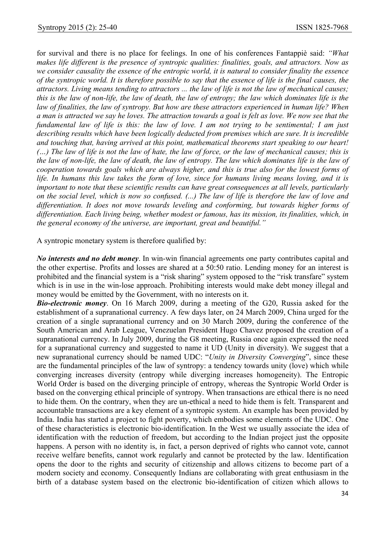for survival and there is no place for feelings. In one of his conferences Fantappiè said: *"What makes life different is the presence of syntropic qualities: finalities, goals, and attractors. Now as we consider causality the essence of the entropic world, it is natural to consider finality the essence of the syntropic world. It is therefore possible to say that the essence of life is the final causes, the attractors. Living means tending to attractors ... the law of life is not the law of mechanical causes; this is the law of non-life, the law of death, the law of entropy; the law which dominates life is the law of finalities, the law of syntropy. But how are these attractors experienced in human life? When a man is attracted we say he loves. The attraction towards a goal is felt as love. We now see that the fundamental law of life is this: the law of love. I am not trying to be sentimental; I am just describing results which have been logically deducted from premises which are sure. It is incredible and touching that, having arrived at this point, mathematical theorems start speaking to our heart! (…) The law of life is not the law of hate, the law of force, or the law of mechanical causes; this is the law of non-life, the law of death, the law of entropy. The law which dominates life is the law of cooperation towards goals which are always higher, and this is true also for the lowest forms of life. In humans this law takes the form of love, since for humans living means loving, and it is important to note that these scientific results can have great consequences at all levels, particularly on the social level, which is now so confused. (...) The law of life is therefore the law of love and differentiation. It does not move towards leveling and conforming, but towards higher forms of differentiation. Each living being, whether modest or famous, has its mission, its finalities, which, in the general economy of the universe, are important, great and beautiful."* 

A syntropic monetary system is therefore qualified by:

*No interests and no debt money*. In win-win financial agreements one party contributes capital and the other expertise. Profits and losses are shared at a 50:50 ratio. Lending money for an interest is prohibited and the financial system is a "risk sharing" system opposed to the "risk transfare" system which is in use in the win-lose approach. Prohibiting interests would make debt money illegal and money would be emitted by the Government, with no interests on it.

*Bio-electronic money*. On 16 March 2009, during a meeting of the G20, Russia asked for the establishment of a supranational currency. A few days later, on 24 March 2009, China urged for the creation of a single supranational currency and on 30 March 2009, during the conference of the South American and Arab League, Venezuelan President Hugo Chavez proposed the creation of a supranational currency. In July 2009, during the G8 meeting, Russia once again expressed the need for a supranational currency and suggested to name it UD (Unity in diversity). We suggest that a new supranational currency should be named UDC: "*Unity in Diversity Converging*", since these are the fundamental principles of the law of syntropy: a tendency towards unity (love) which while converging increases diversity (entropy while diverging increases homogeneity). The Entropic World Order is based on the diverging principle of entropy, whereas the Syntropic World Order is based on the converging ethical principle of syntropy. When transactions are ethical there is no need to hide them. On the contrary, when they are un-ethical a need to hide them is felt. Transparent and accountable transactions are a key element of a syntropic system. An example has been provided by India. India has started a project to fight poverty, which embodies some elements of the UDC. One of these characteristics is electronic bio-identification. In the West we usually associate the idea of identification with the reduction of freedom, but according to the Indian project just the opposite happens. A person with no identity is, in fact, a person deprived of rights who cannot vote, cannot receive welfare benefits, cannot work regularly and cannot be protected by the law. Identification opens the door to the rights and security of citizenship and allows citizens to become part of a modern society and economy. Consequently Indians are collaborating with great enthusiasm in the birth of a database system based on the electronic bio-identification of citizen which allows to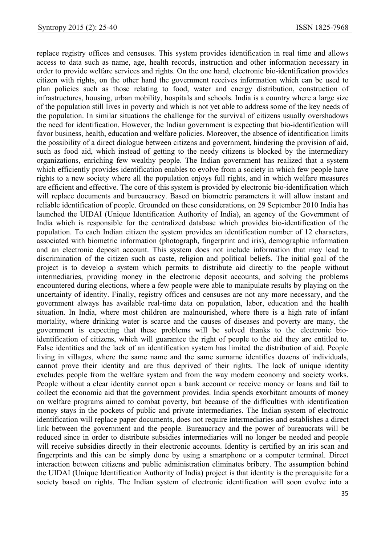replace registry offices and censuses. This system provides identification in real time and allows access to data such as name, age, health records, instruction and other information necessary in order to provide welfare services and rights. On the one hand, electronic bio-identification provides citizen with rights, on the other hand the government receives information which can be used to plan policies such as those relating to food, water and energy distribution, construction of infrastructures, housing, urban mobility, hospitals and schools. India is a country where a large size of the population still lives in poverty and which is not yet able to address some of the key needs of the population. In similar situations the challenge for the survival of citizens usually overshadows the need for identification. However, the Indian government is expecting that bio-identification will favor business, health, education and welfare policies. Moreover, the absence of identification limits the possibility of a direct dialogue between citizens and government, hindering the provision of aid, such as food aid, which instead of getting to the needy citizens is blocked by the intermediary organizations, enriching few wealthy people. The Indian government has realized that a system which efficiently provides identification enables to evolve from a society in which few people have rights to a new society where all the population enjoys full rights, and in which welfare measures are efficient and effective. The core of this system is provided by electronic bio-identification which will replace documents and bureaucracy. Based on biometric parameters it will allow instant and reliable identification of people. Grounded on these considerations, on 29 September 2010 India has launched the UIDAI (Unique Identification Authority of India), an agency of the Government of India which is responsible for the centralized database which provides bio-identification of the population. To each Indian citizen the system provides an identification number of 12 characters, associated with biometric information (photograph, fingerprint and iris), demographic information and an electronic deposit account. This system does not include information that may lead to discrimination of the citizen such as caste, religion and political beliefs. The initial goal of the project is to develop a system which permits to distribute aid directly to the people without intermediaries, providing money in the electronic deposit accounts, and solving the problems encountered during elections, where a few people were able to manipulate results by playing on the uncertainty of identity. Finally, registry offices and censuses are not any more necessary, and the government always has available real-time data on population, labor, education and the health situation. In India, where most children are malnourished, where there is a high rate of infant mortality, where drinking water is scarce and the causes of diseases and poverty are many, the government is expecting that these problems will be solved thanks to the electronic bioidentification of citizens, which will guarantee the right of people to the aid they are entitled to. False identities and the lack of an identification system has limited the distribution of aid. People living in villages, where the same name and the same surname identifies dozens of individuals, cannot prove their identity and are thus deprived of their rights. The lack of unique identity excludes people from the welfare system and from the way modern economy and society works. People without a clear identity cannot open a bank account or receive money or loans and fail to collect the economic aid that the government provides. India spends exorbitant amounts of money on welfare programs aimed to combat poverty, but because of the difficulties with identification money stays in the pockets of public and private intermediaries. The Indian system of electronic identification will replace paper documents, does not require intermediaries and establishes a direct link between the government and the people. Bureaucracy and the power of bureaucrats will be reduced since in order to distribute subsidies intermediaries will no longer be needed and people will receive subsidies directly in their electronic accounts. Identity is certified by an iris scan and fingerprints and this can be simply done by using a smartphone or a computer terminal. Direct interaction between citizens and public administration eliminates bribery. The assumption behind the UIDAI (Unique Identification Authority of India) project is that identity is the prerequisite for a society based on rights. The Indian system of electronic identification will soon evolve into a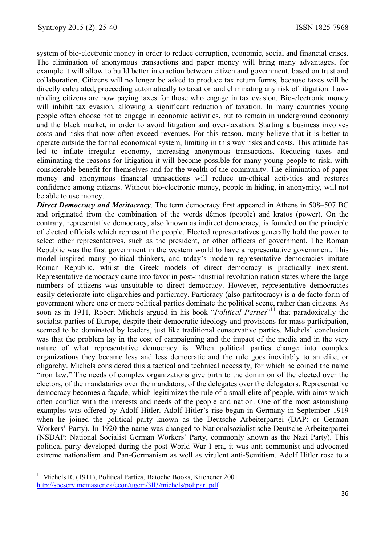system of bio-electronic money in order to reduce corruption, economic, social and financial crises. The elimination of anonymous transactions and paper money will bring many advantages, for example it will allow to build better interaction between citizen and government, based on trust and collaboration. Citizens will no longer be asked to produce tax return forms, because taxes will be directly calculated, proceeding automatically to taxation and eliminating any risk of litigation. Lawabiding citizens are now paying taxes for those who engage in tax evasion. Bio-electronic money will inhibit tax evasion, allowing a significant reduction of taxation. In many countries young people often choose not to engage in economic activities, but to remain in underground economy and the black market, in order to avoid litigation and over-taxation. Starting a business involves costs and risks that now often exceed revenues. For this reason, many believe that it is better to operate outside the formal economical system, limiting in this way risks and costs. This attitude has led to inflate irregular economy, increasing anonymous transactions. Reducing taxes and eliminating the reasons for litigation it will become possible for many young people to risk, with considerable benefit for themselves and for the wealth of the community. The elimination of paper money and anonymous financial transactions will reduce un-ethical activities and restores confidence among citizens. Without bio-electronic money, people in hiding, in anonymity, will not be able to use money.

*Direct Democracy and Meritocracy*. The term democracy first appeared in Athens in 508–507 BC and originated from the combination of the words dêmos (people) and kratos (power). On the contrary, representative democracy, also known as indirect democracy, is founded on the principle of elected officials which represent the people. Elected representatives generally hold the power to select other representatives, such as the president, or other officers of government. The Roman Republic was the first government in the western world to have a representative government. This model inspired many political thinkers, and today's modern representative democracies imitate Roman Republic, whilst the Greek models of direct democracy is practically inexistent. Representative democracy came into favor in post-industrial revolution nation states where the large numbers of citizens was unsuitable to direct democracy. However, representative democracies easily deteriorate into oligarchies and particracy. Particracy (also partitocracy) is a de facto form of government where one or more political parties dominate the political scene, rather than citizens. As soon as in 1911, Robert Michels argued in his book "*Political Parties*"<sup>11</sup> that paradoxically the socialist parties of Europe, despite their democratic ideology and provisions for mass participation, seemed to be dominated by leaders, just like traditional conservative parties. Michels' conclusion was that the problem lay in the cost of campaigning and the impact of the media and in the very nature of what representative democracy is. When political parties change into complex organizations they became less and less democratic and the rule goes inevitably to an elite, or oligarchy. Michels considered this a tactical and technical necessity, for which he coined the name "iron law." The needs of complex organizations give birth to the dominion of the elected over the electors, of the mandataries over the mandators, of the delegates over the delegators. Representative democracy becomes a façade, which legitimizes the rule of a small elite of people, with aims which often conflict with the interests and needs of the people and nation. One of the most astonishing examples was offered by Adolf Hitler. Adolf Hitler's rise began in Germany in September 1919 when he joined the political party known as the Deutsche Arbeiterpartei (DAP: or German Workers' Party). In 1920 the name was changed to Nationalsozialistische Deutsche Arbeiterpartei (NSDAP: National Socialist German Workers' Party, commonly known as the Nazi Party). This political party developed during the post-World War I era, it was anti-communist and advocated extreme nationalism and Pan-Germanism as well as virulent anti-Semitism. Adolf Hitler rose to a

 $\overline{\phantom{a}}$ 

<sup>&</sup>lt;sup>11</sup> Michels R. (1911), Political Parties, Batoche Books, Kitchener 2001 http://socserv.mcmaster.ca/econ/ugcm/3ll3/michels/polipart.pdf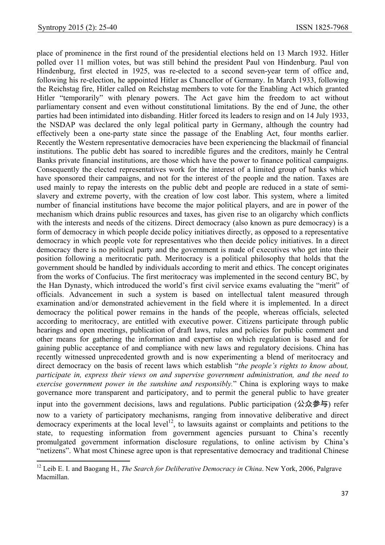$\overline{\phantom{a}}$ 

place of prominence in the first round of the presidential elections held on 13 March 1932. Hitler polled over 11 million votes, but was still behind the president Paul von Hindenburg. Paul von Hindenburg, first elected in 1925, was re-elected to a second seven-year term of office and, following his re-election, he appointed Hitler as Chancellor of Germany. In March 1933, following the Reichstag fire, Hitler called on Reichstag members to vote for the Enabling Act which granted Hitler "temporarily" with plenary powers. The Act gave him the freedom to act without parliamentary consent and even without constitutional limitations. By the end of June, the other parties had been intimidated into disbanding. Hitler forced its leaders to resign and on 14 July 1933, the NSDAP was declared the only legal political party in Germany, although the country had effectively been a one-party state since the passage of the Enabling Act, four months earlier. Recently the Western representative democracies have been experiencing the blackmail of financial institutions. The public debt has soared to incredible figures and the creditors, mainly he Central Banks private financial institutions, are those which have the power to finance political campaigns. Consequently the elected representatives work for the interest of a limited group of banks which have sponsored their campaigns, and not for the interest of the people and the nation. Taxes are used mainly to repay the interests on the public debt and people are reduced in a state of semislavery and extreme poverty, with the creation of low cost labor. This system, where a limited number of financial institutions have become the major political players, and are in power of the mechanism which drains public resources and taxes, has given rise to an oligarchy which conflicts with the interests and needs of the citizens. Direct democracy (also known as pure democracy) is a form of democracy in which people decide policy initiatives directly, as opposed to a representative democracy in which people vote for representatives who then decide policy initiatives. In a direct democracy there is no political party and the government is made of executives who get into their position following a meritocratic path. Meritocracy is a political philosophy that holds that the government should be handled by individuals according to merit and ethics. The concept originates from the works of Confucius. The first meritocracy was implemented in the second century BC, by the Han Dynasty, which introduced the world's first civil service exams evaluating the "merit" of officials. Advancement in such a system is based on intellectual talent measured through examination and/or demonstrated achievement in the field where it is implemented. In a direct democracy the political power remains in the hands of the people, whereas officials, selected according to meritocracy, are entitled with executive power. Citizens participate through public hearings and open meetings, publication of draft laws, rules and policies for public comment and other means for gathering the information and expertise on which regulation is based and for gaining public acceptance of and compliance with new laws and regulatory decisions. China has recently witnessed unprecedented growth and is now experimenting a blend of meritocracy and direct democracy on the basis of recent laws which establish "*the people's rights to know about, participate in, express their views on and supervise government administration, and the need to exercise government power in the sunshine and responsibly.*" China is exploring ways to make governance more transparent and participatory, and to permit the general public to have greater input into the government decisions, laws and regulations. Public participation  $(\Delta \hat{\chi} \hat{\gg} \frac{1}{2})$  refer now to a variety of participatory mechanisms, ranging from innovative deliberative and direct democracy experiments at the local level<sup>12</sup>, to lawsuits against or complaints and petitions to the state, to requesting information from government agencies pursuant to China's recently promulgated government information disclosure regulations, to online activism by China's "netizens". What most Chinese agree upon is that representative democracy and traditional Chinese

<sup>12</sup> Leib E. I. and Baogang H., *The Search for Deliberative Democracy in China*. New York, 2006, Palgrave Macmillan.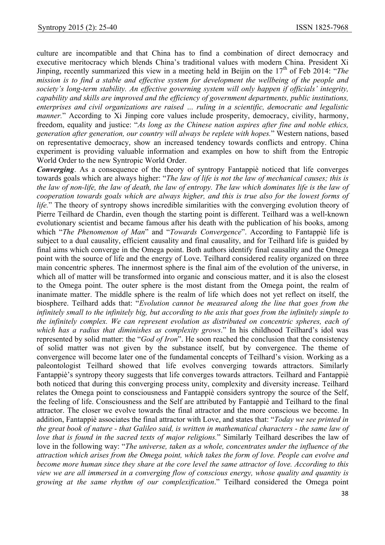culture are incompatible and that China has to find a combination of direct democracy and executive meritocracy which blends China's traditional values with modern China. President Xi Jinping, recently summarized this view in a meeting held in Beijin on the 17<sup>th</sup> of Feb 2014: "The *mission is to find a stable and effective system for development the wellbeing of the people and society's long-term stability. An effective governing system will only happen if officials' integrity, capability and skills are improved and the efficiency of government departments, public institutions, enterprises and civil organizations are raised … ruling in a scientific, democratic and legalistic manner.*" According to Xi Jinping core values include prosperity, democracy, civility, harmony, freedom, equality and justice: "*As long as the Chinese nation aspires after fine and noble ethics, generation after generation, our country will always be replete with hopes.*" Western nations, based on representative democracy, show an increased tendency towards conflicts and entropy. China experiment is providing valuable information and examples on how to shift from the Entropic World Order to the new Syntropic World Order.

*Converging*. As a consequence of the theory of syntropy Fantappiè noticed that life converges towards goals which are always higher: "*The law of life is not the law of mechanical causes; this is the law of non-life, the law of death, the law of entropy. The law which dominates life is the law of cooperation towards goals which are always higher, and this is true also for the lowest forms of life.*" The theory of syntropy shows incredible similarities with the converging evolution theory of Pierre Teilhard de Chardin, even though the starting point is different. Teilhard was a well-known evolutionary scientist and became famous after his death with the publication of his books, among which "*The Phenomenon of Man*" and "*Towards Convergence*". According to Fantappiè life is subject to a dual causality, efficient causality and final causality, and for Teilhard life is guided by final aims which converge in the Omega point. Both authors identify final causality and the Omega point with the source of life and the energy of Love. Teilhard considered reality organized on three main concentric spheres. The innermost sphere is the final aim of the evolution of the universe, in which all of matter will be transformed into organic and conscious matter, and it is also the closest to the Omega point. The outer sphere is the most distant from the Omega point, the realm of inanimate matter. The middle sphere is the realm of life which does not yet reflect on itself, the biosphere. Teilhard adds that: "*Evolution cannot be measured along the line that goes from the infinitely small to the infinitely big, but according to the axis that goes from the infinitely simple to the infinitely complex. We can represent evolution as distributed on concentric spheres, each of which has a radius that diminishes as complexity grows*." In his childhood Teilhard's idol was represented by solid matter: the "*God of Iron*". He soon reached the conclusion that the consistency of solid matter was not given by the substance itself, but by convergence. The theme of convergence will become later one of the fundamental concepts of Teilhard's vision. Working as a paleontologist Teilhard showed that life evolves converging towards attractors. Similarly Fantappiè's syntropy theory suggests that life converges towards attractors. Teilhard and Fantappiè both noticed that during this converging process unity, complexity and diversity increase. Teilhard relates the Omega point to consciousness and Fantappiè considers syntropy the source of the Self, the feeling of life. Consciousness and the Self are attributed by Fantappiè and Teilhard to the final attractor. The closer we evolve towards the final attractor and the more conscious we become. In addition, Fantappiè associates the final attractor with Love, and states that: "*Today we see printed in the great book of nature - that Galileo said, is written in mathematical characters - the same law of love that is found in the sacred texts of major religions.*" Similarly Teilhard describes the law of love in the following way: "*The universe, taken as a whole, concentrates under the influence of the attraction which arises from the Omega point, which takes the form of love. People can evolve and become more human since they share at the core level the same attractor of love. According to this view we are all immersed in a converging flow of conscious energy, whose quality and quantity is growing at the same rhythm of our complexification*." Teilhard considered the Omega point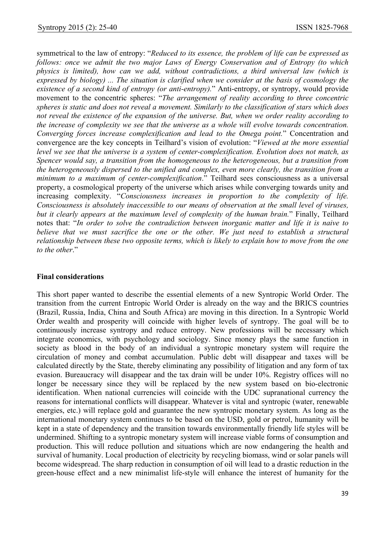symmetrical to the law of entropy: "*Reduced to its essence, the problem of life can be expressed as follows: once we admit the two major Laws of Energy Conservation and of Entropy (to which physics is limited), how can we add, without contradictions, a third universal law (which is expressed by biology) ... The situation is clarified when we consider at the basis of cosmology the existence of a second kind of entropy (or anti-entropy).*" Anti-entropy, or syntropy, would provide movement to the concentric spheres: "*The arrangement of reality according to three concentric spheres is static and does not reveal a movement. Similarly to the classification of stars which does not reveal the existence of the expansion of the universe. But, when we order reality according to the increase of complexity we see that the universe as a whole will evolve towards concentration. Converging forces increase complexification and lead to the Omega point.*" Concentration and convergence are the key concepts in Teilhard's vision of evolution: "*Viewed at the more essential level we see that the universe is a system of center-complexification. Evolution does not match, as Spencer would say, a transition from the homogeneous to the heterogeneous, but a transition from the heterogeneously dispersed to the unified and complex, even more clearly, the transition from a minimum to a maximum of center-complexification*." Teilhard sees consciousness as a universal property, a cosmological property of the universe which arises while converging towards unity and increasing complexity. "*Consciousness increases in proportion to the complexity of life. Consciousness is absolutely inaccessible to our means of observation at the small level of viruses, but it clearly appears at the maximum level of complexity of the human brain.*" Finally, Teilhard notes that: "*In order to solve the contradiction between inorganic matter and life it is naive to believe that we must sacrifice the one or the other. We just need to establish a structural relationship between these two opposite terms, which is likely to explain how to move from the one to the other*."

### **Final considerations**

This short paper wanted to describe the essential elements of a new Syntropic World Order. The transition from the current Entropic World Order is already on the way and the BRICS countries (Brazil, Russia, India, China and South Africa) are moving in this direction. In a Syntropic World Order wealth and prosperity will coincide with higher levels of syntropy. The goal will be to continuously increase syntropy and reduce entropy. New professions will be necessary which integrate economics, with psychology and sociology. Since money plays the same function in society as blood in the body of an individual a syntropic monetary system will require the circulation of money and combat accumulation. Public debt will disappear and taxes will be calculated directly by the State, thereby eliminating any possibility of litigation and any form of tax evasion. Bureaucracy will disappear and the tax drain will be under 10%. Registry offices will no longer be necessary since they will be replaced by the new system based on bio-electronic identification. When national currencies will coincide with the UDC supranational currency the reasons for international conflicts will disappear. Whatever is vital and syntropic (water, renewable energies, etc.) will replace gold and guarantee the new syntropic monetary system. As long as the international monetary system continues to be based on the USD, gold or petrol, humanity will be kept in a state of dependency and the transition towards environmentally friendly life styles will be undermined. Shifting to a syntropic monetary system will increase viable forms of consumption and production. This will reduce pollution and situations which are now endangering the health and survival of humanity. Local production of electricity by recycling biomass, wind or solar panels will become widespread. The sharp reduction in consumption of oil will lead to a drastic reduction in the green-house effect and a new minimalist life-style will enhance the interest of humanity for the